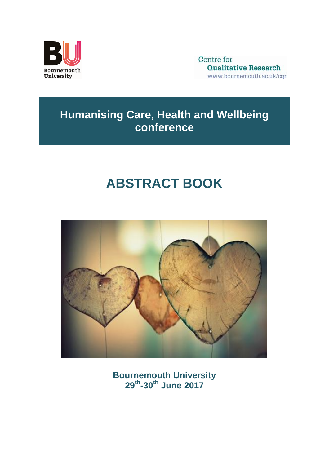

Centre for **Qualitative Research** www.bournemouth.ac.uk/cgr

## **Humanising Care, Health and Wellbeing conference**

# **ABSTRACT BOOK**



**Bournemouth University 29th -30th June 2017**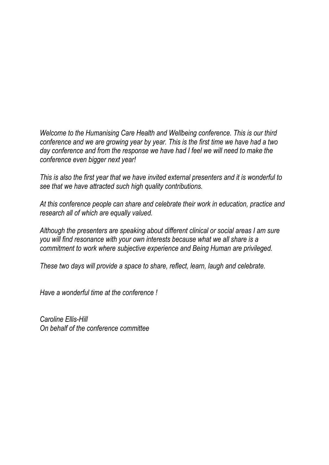*Welcome to the Humanising Care Health and Wellbeing conference. This is our third conference and we are growing year by year. This is the first time we have had a two day conference and from the response we have had I feel we will need to make the conference even bigger next year!*

*This is also the first year that we have invited external presenters and it is wonderful to see that we have attracted such high quality contributions.* 

*At this conference people can share and celebrate their work in education, practice and research all of which are equally valued.* 

*Although the presenters are speaking about different clinical or social areas I am sure you will find resonance with your own interests because what we all share is a commitment to work where subjective experience and Being Human are privileged.* 

*These two days will provide a space to share, reflect, learn, laugh and celebrate.* 

*Have a wonderful time at the conference !*

*Caroline Ellis-Hill On behalf of the conference committee*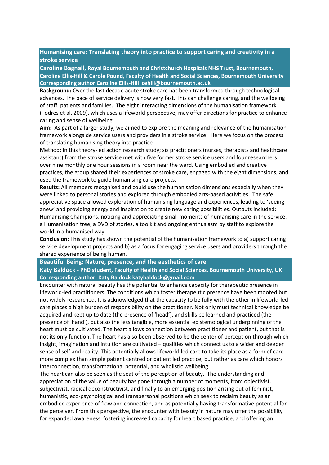#### **Humanising care: Translating theory into practice to support caring and creativity in a stroke service**

**Caroline Bagnall, Royal Bournemouth and Christchurch Hospitals NHS Trust, Bournemouth, Caroline Ellis-Hill & Carole Pound, Faculty of Health and Social Sciences, Bournemouth University Corresponding author Caroline Ellis-Hill cehill@bournemouth.ac.uk**

**Background:** Over the last decade acute stroke care has been transformed through technological advances. The pace of service delivery is now very fast. This can challenge caring, and the wellbeing of staff, patients and families. The eight interacting dimensions of the humanisation framework (Todres et al, 2009), which uses a lifeworld perspective, may offer directions for practice to enhance caring and sense of wellbeing.

**Aim:** As part of a larger study, we aimed to explore the meaning and relevance of the humanisation framework alongside service users and providers in a stroke service. Here we focus on the process of translating humanising theory into practice

Method: In this theory-led action research study; six practitioners (nurses, therapists and healthcare assistant) from the stroke service met with five former stroke service users and four researchers over nine monthly one hour sessions in a room near the ward. Using embodied and creative practices, the group shared their experiences of stroke care, engaged with the eight dimensions, and used the framework to guide humanising care projects.

**Results:** All members recognised and could use the humanisation dimensions especially when they were linked to personal stories and explored through embodied arts-based activities. The safe appreciative space allowed exploration of humanising language and experiences, leading to 'seeing anew' and providing energy and inspiration to create new caring possibilities. Outputs included: Humanising Champions, noticing and appreciating small moments of humanising care in the service, a Humanisation tree, a DVD of stories, a toolkit and ongoing enthusiasm by staff to explore the world in a humanised way.

**Conclusion:** This study has shown the potential of the humanisation framework to a) support caring service development projects and b) as a focus for engaging service users and providers through the shared experience of being human.

#### **Beautiful Being: Nature, presence, and the aesthetics of care**

**Katy Baldock - PhD student, Faculty of Health and Social Sciences, Bournemouth University, UK Corresponding author: Katy Baldock katybaldock@gmail.com**

Encounter with natural beauty has the potential to enhance capacity for therapeutic presence in lifeworld-led practitioners. The conditions which foster therapeutic presence have been mooted but not widely researched. It is acknowledged that the capacity to be fully with the other in lifeworld-led care places a high burden of responsibility on the practitioner. Not only must technical knowledge be acquired and kept up to date (the presence of 'head'), and skills be learned and practiced (the presence of 'hand'), but also the less tangible, more essential epistemological underpinning of the heart must be cultivated. The heart allows connection between practitioner and patient, but that is not its only function. The heart has also been observed to be the center of perception through which insight, imagination and intuition are cultivated – qualities which connect us to a wider and deeper sense of self and reality. This potentially allows lifeworld-led care to take its place as a form of care more complex than simple patient centred or patient led practice, but rather as care which honors interconnection, transformational potential, and wholistic wellbeing.

The heart can also be seen as the seat of the perception of beauty. The understanding and appreciation of the value of beauty has gone through a number of moments, from objectivist, subjectivist, radical deconstructivist, and finally to an emerging position arising out of feminist, humanistic, eco-psychological and transpersonal positions which seek to reclaim beauty as an embodied experience of flow and connection, and as potentially having transformative potential for the perceiver. From this perspective, the encounter with beauty in nature may offer the possibility for expanded awareness, fostering increased capacity for heart based practice, and offering an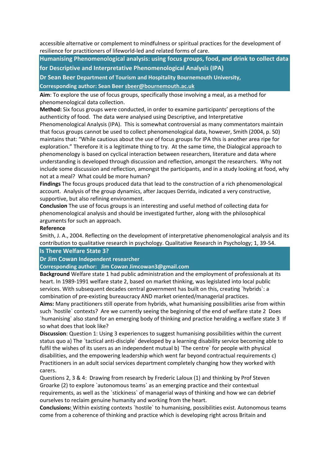accessible alternative or complement to mindfulness or spiritual practices for the development of resilience for practitioners of lifeworld-led and related forms of care.

**Humanising Phenomenological analysis: using focus groups, food, and drink to collect data** 

**for Descriptive and Interpretative Phenomenological Analysis (IPA)**

**Dr Sean Beer Department of Tourism and Hospitality Bournemouth University,**

**Corresponding author: Sean Beer [sbeer@bournemouth.ac.uk](mailto:sbeer@bournemouth.ac.uk)**

**Aim**: To explore the use of focus groups, specifically those involving a meal, as a method for phenomenological data collection.

**Method:** Six focus groups were conducted, in order to examine participants' perceptions of the authenticity of food. The data were analysed using Descriptive, and Interpretative

Phenomenological Analysis (IPA). This is somewhat controversial as many commentators maintain that focus groups cannot be used to collect phenomenological data, however, Smith (2004, p. 50) maintains that: "While cautious about the use of focus groups for IPA this is another area ripe for exploration." Therefore it is a legitimate thing to try. At the same time, the Dialogical approach to phenomenology is based on cyclical interaction between researchers, literature and data where understanding is developed through discussion and reflection, amongst the researchers. Why not include some discussion and reflection, amongst the participants, and in a study looking at food, why not at a meal? What could be more human?

**Findings** The focus groups produced data that lead to the construction of a rich phenomenological account. Analysis of the group dynamics, after Jacques Derrida, indicated a very constructive, supportive, but also refining environment.

**Conclusion** The use of focus groups is an interesting and useful method of collecting data for phenomenological analysis and should be investigated further, along with the philosophical arguments for such an approach.

#### **Reference**

Smith, J. A., 2004. Reflecting on the development of interpretative phenomenological analysis and its contribution to qualitative research in psychology. Qualitative Research in Psychology; 1, 39-54.

#### **Is There Welfare State 3?**

#### **Dr Jim Cowan Independent researcher**

#### **Corresponding author: Jim Cowan Jimcowan3@gmail.com**

**Background** Welfare state 1 had public administration and the employment of professionals at its heart. In 1989-1991 welfare state 2, based on market thinking, was legislated into local public services. With subsequent decades central government has built on this, creating `hybrids`: a combination of pre-existing bureaucracy AND market oriented/managerial practices.

**Aims:** Many practitioners still operate from hybrids, what humanising possibilities arise from within such `hostile` contexts? Are we currently seeing the beginning of the end of welfare state 2 Does `humanising` also stand for an emerging body of thinking and practice heralding a welfare state 3 If so what does that look like?

**Discussion**: Question 1: Using 3 experiences to suggest humanising possibilities within the current status quo a) The `tactical anti-disciple` developed by a learning disability service becoming able to fulfil the wishes of its users as an independent mutual b) `The centre` for people with physical disabilities, and the empowering leadership which went far beyond contractual requirements c) Practitioners in an adult social services department completely changing how they worked with carers.

Questions 2, 3 & 4: Drawing from research by Frederic Laloux (1) and thinking by Prof Steven Groarke (2) to explore `autonomous teams` as an emerging practice and their contextual requirements, as well as the `stickiness` of managerial ways of thinking and how we can debrief ourselves to reclaim genuine humanity and working from the heart.

**Conclusions:** Within existing contexts `hostile` to humanising, possibilities exist. Autonomous teams come from a coherence of thinking and practice which is developing right across Britain and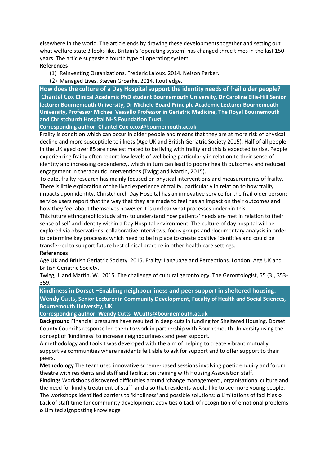elsewhere in the world. The article ends by drawing these developments together and setting out what welfare state 3 looks like. Britain's 'operating system' has changed three times in the last 150 years. The article suggests a fourth type of operating system.

#### **References**

(1) Reinventing Organizations. Frederic Laloux. 2014. Nelson Parker.

(2) Managed Lives. Steven Groarke. 2014. Routledge.

**How does the culture of a Day Hospital support the identity needs of frail older people? Chantel Cox Clinical Academic PhD student Bournemouth University, Dr Caroline Ellis-Hill Senior lecturer Bournemouth University, Dr Michele Board Principle Academic Lecturer Bournemouth University, Professor Michael Vassallo Professor in Geriatric Medicine, The Royal Bournemouth and Christchurch Hospital NHS Foundation Trust.** 

**Corresponding author: Chantel Co[x ccox@bournemouth.ac.uk](mailto:ccox@bournemouth.ac.uk)**

Frailty is condition which can occur in older people and means that they are at more risk of physical decline and more susceptible to illness (Age UK and British Geriatric Society 2015). Half of all people in the UK aged over 85 are now estimated to be living with frailty and this is expected to rise. People experiencing frailty often report low levels of wellbeing particularly in relation to their sense of identity and increasing dependency, which in turn can lead to poorer health outcomes and reduced engagement in therapeutic interventions (Twigg and Martin, 2015).

To date, frailty research has mainly focused on physical interventions and measurements of frailty. There is little exploration of the lived experience of frailty, particularly in relation to how frailty impacts upon identity. Christchurch Day Hospital has an innovative service for the frail older person; service users report that the way that they are made to feel has an impact on their outcomes and how they feel about themselves however it is unclear what processes underpin this.

This future ethnographic study aims to understand how patients' needs are met in relation to their sense of self and identity within a Day Hospital environment. The culture of day hospital will be explored via observations, collaborative interviews, focus groups and documentary analysis in order to determine key processes which need to be in place to create positive identities and could be transferred to support future best clinical practice in other health care settings.

#### **References**

Age UK and British Geriatric Society, 2015. Frailty: Language and Perceptions. London: Age UK and British Geriatric Society.

Twigg, J. and Martin, W., 2015. The challenge of cultural gerontology. The Gerontologist, 55 (3), 353- 359.

**Kindliness in Dorset –Enabling neighbourliness and peer support in sheltered housing. Wendy Cutts, Senior Lecturer in Community Development, Faculty of Health and Social Sciences, Bournemouth University, UK**

**Corresponding author: Wendy Cutts WCutts@bournemouth.ac.uk**

**Background** Financial pressures have resulted in deep cuts in funding for Sheltered Housing. Dorset County Council's response led them to work in partnership with Bournemouth University using the concept of 'kindliness' to increase neighbourliness and peer support.

A methodology and toolkit was developed with the aim of helping to create vibrant mutually supportive communities where residents felt able to ask for support and to offer support to their peers.

**Methodology** The team used innovative scheme-based sessions involving poetic enquiry and forum theatre with residents and staff and facilitation training with Housing Association staff.

**Findings** Workshops discovered difficulties around 'change management', organisational culture and the need for kindly treatment of staff and also that residents would like to see more young people. The workshops identified barriers to 'kindliness' and possible solutions: **ο** Limitations of facilities **ο** Lack of staff time for community development activities **ο** Lack of recognition of emotional problems **ο** Limited signposting knowledge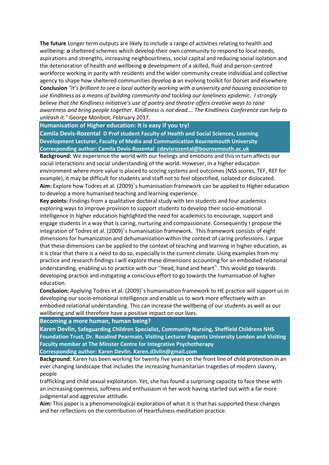**The future** Longer term outputs are likely to include a range of activities relating to health and wellbeing: **ο** sheltered schemes which develop their own community to respond to local needs, aspirations and strengths, increasing neighbourliness, social capital and reducing social isolation and the deterioration of health and wellbeing **ο** development of a skilled, fluid and person-centred workforce working in parity with residents and the wider community create individual and collective agency to shape how sheltered communities develop **ο** an evolving toolkit for Dorset and elsewhere **Conclusion** *"It's brilliant to see a local authority working with a university and housing association to use Kindliness as a means of building community and tackling our loneliness epidemic. I strongly believe that the Kindliness initiative's use of poetry and theatre offers creative ways to raise awareness and bring people together. Kindliness is not dead…. The Kindliness Conference can help to unleash it."* George Monbiot, February 2017*.*

**Humanisation of Higher education: It is easy if you try!** 

**Camila Devis-Rozental D Prof student Faculty of Health and Social Sciences, Learning Development Lecturer, Faculty of Media and Communication Bournemouth University Corresponding author: Camila Devis-Rozental [cdevisrozental@bournemouth.ac.uk](mailto:cdevisrozental@bournemouth.ac.uk)**

**Background:** We experience the world with our feelings and emotions and this in turn affects our social interactions and social understanding of the world. However, in a higher education environment where more value is placed to scoring systems and outcomes (NSS scores, TEF, REF for example), it may be difficult for students and staff not to feel objectified, isolated or dislocated. **Aim:** Explore how Todres et al. (2009)'s humanisation framework can be applied to Higher education to develop a more humanised teaching and learning experience.

**Key points:** Findings from a qualitative doctoral study with ten students and four academics exploring ways to improve provision to support students to develop their socio-emotional intelligence in higher education highlighted the need for academics to encourage, support and engage students in a way that is caring, nurturing and compassionate. Consequently I propose the integration of Todres et al. (2009)'s humanisation framework. This framework consists of eight dimensions for humanization and dehumanization within the context of caring professions. I argue that these dimensions can be applied to the context of teaching and learning in higher education, as it is clear that there is a need to do so, especially in the current climate. Using examples from my practice and research findings I will explore these dimensions accounting for an embodied relational understanding, enabling us to practice with our "head, hand and heart". This would go towards developing practice and instigating a conscious effort to go towards the humanisation of higher education.

**Conclusion:** Applying Todres et al. (2009)'s humanisation framework to HE practice will support us in developing our socio-emotional intelligence and enable us to work more effectively with an embodied relational understanding. This can increase the wellbeing of our students as well as our wellbeing and will therefore have a positive impact on our lives.

**Becoming a more human, human being?**

**Karen Devlin, Safeguarding Children Specialist, Community Nursing, Sheffield Childrens NHS Foundation Trust, Dr. Rosalind Pearmain, Visiting Lecturer Regents University London and Visiting Faculty member at The Minster Centre for Integrative Psychotherapy Corresponding author: Karen Devlin. Karen.d3vlin@gmail.com**

**Background:** Karen has been working for twenty five years on the front line of child protection in an ever changing landscape that includes the increasing humanitarian tragedies of modern slavery, people

trafficking and child sexual exploitation. Yet, she has found a surprising capacity to face these with an increasing openness, softness and enthusiasm in her work having started out with a far more judgmental and aggressive attitude.

**Aim:** This paper is a phenomenological exploration of what it is that has supported these changes and her reflections on the contribution of Heartfulness meditation practice.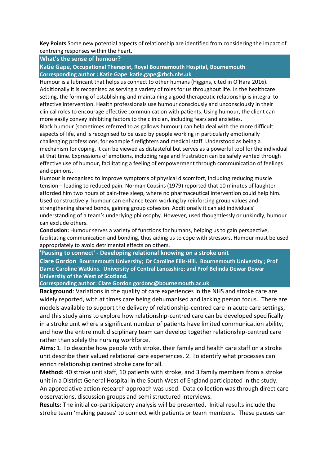**Key Points** Some new potential aspects of relationship are identified from considering the impact of centreing responses within the heart.

**What's the sense of humour?** 

**Katie Gape, Occupational Therapist, Royal Bournemouth Hospital, Bournemouth Corresponding author : Katie Gape katie.gape@rbch.nhs.uk**

Humour is a lubricant that helps us connect to other humans (Higgins, cited in O'Hara 2016). Additionally it is recognised as serving a variety of roles for us throughout life. In the healthcare setting, the forming of establishing and maintaining a good therapeutic relationship is integral to effective intervention. Health professionals use humour consciously and unconsciously in their clinical roles to encourage effective communication with patients. Using humour, the client can more easily convey inhibiting factors to the clinician, including fears and anxieties.

Black humour (sometimes referred to as gallows humour) can help deal with the more difficult aspects of life, and is recognised to be used by people working in particularly emotionally challenging professions, for example firefighters and medical staff. Understood as being a mechanism for coping, it can be viewed as distasteful but serves as a powerful tool for the individual at that time. Expressions of emotions, including rage and frustration can be safely vented through effective use of humour, facilitating a feeling of empowerment through communication of feelings and opinions.

Humour is recognised to improve symptoms of physical discomfort, including reducing muscle tension – leading to reduced pain. Norman Cousins (1979) reported that 10 minutes of laughter afforded him two hours of pain-free sleep, where no pharmaceutical intervention could help him. Used constructively, humour can enhance team working by reinforcing group values and strengthening shared bonds, gaining group cohesion. Additionally it can aid individuals' understanding of a team's underlying philosophy. However, used thoughtlessly or unkindly, humour can exclude others.

**Conclusion:** Humour serves a variety of functions for humans, helping us to gain perspective, facilitating communication and bonding, thus aiding us to cope with stressors. Humour must be used appropriately to avoid detrimental effects on others.

**'Pausing to connect' - Developing relational knowing on a stroke unit**

**Clare Gordon Bournemouth University; Dr Caroline Ellis-Hill. Bournemouth University ; Prof Dame Caroline Watkins. University of Central Lancashire; and Prof Belinda Dewar Dewar University of the West of Scotland.**

**Corresponding author: Clare Gordon gordonc@bournemouth.ac.uk** 

**Background**: Variations in the quality of care experiences in the NHS and stroke care are widely reported, with at times care being dehumanised and lacking person focus. There are models available to support the delivery of relationship-centred care in acute care settings, and this study aims to explore how relationship-centred care can be developed specifically in a stroke unit where a significant number of patients have limited communication ability, and how the entire multidisciplinary team can develop together relationship-centred care rather than solely the nursing workforce.

**Aims:** 1. To describe how people with stroke, their family and health care staff on a stroke unit describe their valued relational care experiences. 2. To identify what processes can enrich relationship centred stroke care for all.

**Method:** 40 stroke unit staff, 10 patients with stroke, and 3 family members from a stroke unit in a District General Hospital in the South West of England participated in the study. An appreciative action research approach was used. Data collection was through direct care observations, discussion groups and semi structured interviews.

**Results:** The initial co-participatory analysis will be presented. Initial results include the stroke team 'making pauses' to connect with patients or team members. These pauses can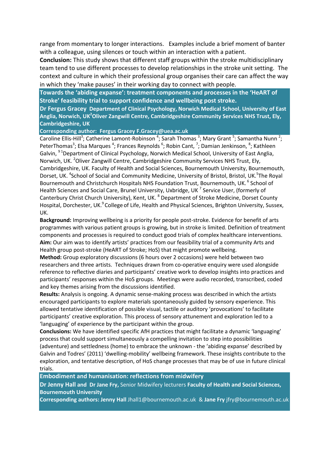range from momentary to longer interactions. Examples include a brief moment of banter with a colleague, using silences or touch within an interaction with a patient.

**Conclusion:** This study shows that different staff groups within the stroke multidisciplinary team tend to use different processes to develop relationships in the stroke unit setting. The context and culture in which their professional group organises their care can affect the way in which they 'make pauses' in their working day to connect with people.

**Towards the 'abiding expanse': treatment components and processes in the 'HeART of Stroke' feasibility trial to support confidence and wellbeing post stroke.**

**Dr Fergus Gracey Department of Clinical Psychology, Norwich Medical School, University of East Anglia, Norwich, UK<sup>2</sup>Oliver Zangwill Centre, Cambridgeshire Community Services NHS Trust, Ely, Cambridgeshire, UK**

**Corresponding author: Fergus Gracey F.Gracey@uea.ac.uk**

Caroline Ellis-Hill<sup>3</sup>; Catherine Lamont-Robinson <sup>4</sup>; Sarah Thomas <sup>3</sup>; Mary Grant <sup>5</sup>; Samantha Nunn <sup>2</sup>; PeterThomas<sup>3</sup>; Elsa Marques <sup>4</sup>; Frances Reynolds <sup>6</sup>; Robin Cant, <sup>7</sup>; Damian Jenkinson, <sup>8</sup>; Kathleen Galvin, <sup>91</sup>Department of Clinical Psychology, Norwich Medical School, University of East Anglia, Norwich, UK. <sup>2</sup>Oliver Zangwill Centre, Cambridgeshire Community Services NHS Trust, Ely, Cambridgeshire, UK. Faculty of Health and Social Sciences, Bournemouth University, Bournemouth, Dorset, UK.<sup>4</sup>School of Social and Community Medicine, University of Bristol, Bristol, UK.<sup>5</sup>The Royal Bournemouth and Christchurch Hospitals NHS Foundation Trust, Bournemouth, UK.<sup>6</sup> School of Health Sciences and Social Care, Brunel University, Uxbridge, UK<sup>7</sup> Service User, (formerly of Canterbury Christ Church University), Kent, UK. <sup>8</sup> Department of Stroke Medicine, Dorset County Hospital, Dorchester, UK.<sup>9</sup> College of Life, Health and Physical Sciences, Brighton University, Sussex, UK.

**Background:** Improving wellbeing is a priority for people post-stroke. Evidence for benefit of arts programmes with various patient groups is growing, but in stroke is limited. Definition of treatment components and processes is required to conduct good trials of complex healthcare interventions. **Aim:** Our aim was to identify artists' practices from our feasibility trial of a community Arts and Health group post-stroke (HeART of Stroke; HoS) that might promote wellbeing.

**Method:** Group exploratory discussions (6 hours over 2 occasions) were held between two researchers and three artists. Techniques drawn from co-operative enquiry were used alongside reference to reflective diaries and participants' creative work to develop insights into practices and participants' responses within the HoS groups. Meetings were audio recorded, transcribed, coded and key themes arising from the discussions identified.

**Results:** Analysis is ongoing. A dynamic sense-making process was described in which the artists encouraged participants to explore materials spontaneously guided by sensory experience. This allowed tentative identification of possible visual, tactile or auditory 'provocations' to facilitate participants' creative exploration. This process of sensory attunement and exploration led to a 'languaging' of experience by the participant within the group.

**Conclusions:** We have identified specific AfH practices that might facilitate a dynamic 'languaging' process that could support simultaneously a compelling invitation to step into possibilities (adventure) and settledness (home) to embrace the unknown - the 'abiding expanse' described by Galvin and Todres' (2011) 'dwelling-mobility' wellbeing framework. These insights contribute to the exploration, and tentative description, of HoS change processes that may be of use in future clinical trials.

**Embodiment and humanisation: reflections from midwifery**

**Dr Jenny Hall and Dr Jane Fry,** Senior Midwifery lecturers **Faculty of Health and Social Sciences, Bournemouth University** 

**Corresponding authors: Jenny Hall** Jhall1@bournemouth.ac.uk & **Jane Fry** jfry@bournemouth.ac.uk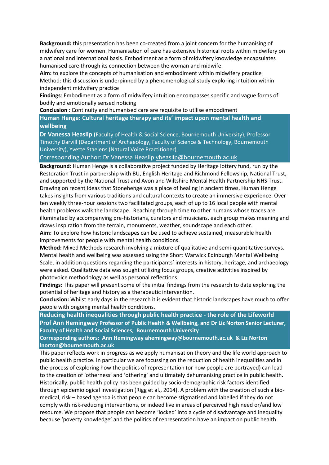**Background:** this presentation has been co-created from a joint concern for the humanising of midwifery care for women. Humanisation of care has extensive historical roots within midwifery on a national and international basis. Embodiment as a form of midwifery knowledge encapsulates humanised care through its connection between the woman and midwife.

**Aim:** to explore the concepts of humanisation and embodiment within midwifery practice Method: this discussion is underpinned by a phenomenological study exploring intuition within independent midwifery practice

**Findings**: Embodiment as a form of midwifery intuition encompasses specific and vague forms of bodily and emotionally sensed noticing

**Conclusion** : Continuity and humanised care are requisite to utilise embodiment

**Human Henge: Cultural heritage therapy and its' impact upon mental health and wellbeing**

**Dr Vanessa Heaslip (**Faculty of Health & Social Science, Bournemouth University), Professor Timothy Darvill (Department of Archaeology, Faculty of Science & Technology, Bournemouth University), Yvette Staelens (Natural Voice Practitioner),

Corresponding Author: Dr Vanessa Heaslip [vheaslip@bournemouth.ac.uk](mailto:vheaslip@bournemouth.ac.uk)

**Background:** Human Henge is a collaborative project funded by Heritage lottery fund, run by the Restoration Trust in partnership with BU, English Heritage and Richmond Fellowship, National Trust, and supported by the National Trust and Avon and Wiltshire Mental Health Partnership NHS Trust. Drawing on recent ideas that Stonehenge was a place of healing in ancient times, Human Henge takes insights from various traditions and cultural contexts to create an immersive experience. Over ten weekly three-hour sessions two facilitated groups, each of up to 16 local people with mental health problems walk the landscape. Reaching through time to other humans whose traces are illuminated by accompanying pre-historians, curators and musicians, each group makes meaning and draws inspiration from the terrain, monuments, weather, soundscape and each other.

**Aim:** To explore how historic landscapes can be used to achieve sustained, measurable health improvements for people with mental health conditions.

**Method:** Mixed Methods research involving a mixture of qualitative and semi-quantitative surveys. Mental health and wellbeing was assessed using the Short Warwick Edinburgh Mental Wellbeing Scale, in addition questions regarding the participants' interests in history, heritage, and archaeology were asked. Qualitative data was sought utilizing focus groups, creative activities inspired by photovoice methodology as well as personal reflections.

**Findings:** This paper will present some of the initial findings from the research to date exploring the potential of heritage and history as a therapeutic intervention.

**Conclusion:** Whilst early days in the research it is evident that historic landscapes have much to offer people with ongoing mental health conditions.

**Reducing health inequalities through public health practice - the role of the Lifeworld Prof Ann Hemingway Professor of Public Health & Wellbeing, and Dr Liz Norton Senior Lecturer, Faculty of Health and Social Sciences, Bournemouth University** 

**Corresponding authors: Ann Hemingway ahemingway@bournemouth.ac.uk & Liz Norton lnorton@bournemouth.ac.uk**

This paper reflects work in progress as we apply humanisation theory and the life world approach to public health practice. In particular we are focussing on the reduction of health inequalities and in the process of exploring how the politics of representation (or how people are portrayed) can lead to the creation of 'otherness' and 'othering' and ultimately dehumanising practice in public health. Historically, public health policy has been guided by socio-demographic risk factors identified through epidemiological investigation (Rigg et al., 2014). A problem with the creation of such a biomedical, risk – based agenda is that people can become stigmatised and labelled if they do not comply with risk-reducing interventions, or indeed live in areas of perceived high need or/and low resource. We propose that people can become 'locked' into a cycle of disadvantage and inequality because 'poverty knowledge' and the politics of representation have an impact on public health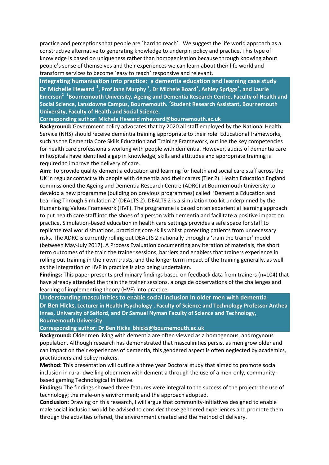practice and perceptions that people are `hard to reach`. We suggest the life world approach as a constructive alternative to generating knowledge to underpin policy and practice. This type of knowledge is based on uniqueness rather than homogenisation because through knowing about people's sense of themselves and their experiences we can learn about their life world and transform services to become `easy to reach` responsive and relevant.

**Integrating humanisation into practice: a dementia education and learning case study Dr Michelle Heward <sup>1</sup> , Prof Jane Murphy <sup>1</sup> , Dr Michele Board<sup>1</sup> , Ashley Spriggs<sup>1</sup> , and Laurie Emerson<sup>2</sup> 1 Bournemouth University, Ageing and Dementia Research Centre, Faculty of Health and Social Science, Lansdowne Campus, Bournemouth. <sup>2</sup> Student Research Assistant, Bournemouth University, Faculty of Health and Social Science.**

#### **Corresponding author: Michele Heward mheward@bournemouth.ac.uk**

**Background:** Government policy advocates that by 2020 all staff employed by the National Health Service (NHS) should receive dementia training appropriate to their role. Educational frameworks, such as the Dementia Core Skills Education and Training Framework, outline the key competencies for health care professionals working with people with dementia. However, audits of dementia care in hospitals have identified a gap in knowledge, skills and attitudes and appropriate training is required to improve the delivery of care.

**Aim:** To provide quality dementia education and learning for health and social care staff across the UK in regular contact with people with dementia and their carers (Tier 2). Health Education England commissioned the Ageing and Dementia Research Centre (ADRC) at Bournemouth University to develop a new programme (building on previous programmes) called 'Dementia Education and Learning Through Simulation 2' (DEALTS 2). DEALTS 2 is a simulation toolkit underpinned by the Humanising Values Framework (HVF). The programme is based on an experiential learning approach to put health care staff into the shoes of a person with dementia and facilitate a positive impact on practice. Simulation-based education in health care settings provides a safe space for staff to replicate real world situations, practicing core skills whilst protecting patients from unnecessary risks. The ADRC is currently rolling out DEALTS 2 nationally through a 'train the trainer' model (between May-July 2017). A Process Evaluation documenting any iteration of materials, the short term outcomes of the train the trainer sessions, barriers and enablers that trainers experience in rolling out training in their own trusts, and the longer term impact of the training generally, as well as the integration of HVF in practice is also being undertaken.

**Findings:** This paper presents preliminary findings based on feedback data from trainers (n=104) that have already attended the train the trainer sessions, alongside observations of the challenges and learning of implementing theory (HVF) into practice.

**Understanding masculinities to enable social inclusion in older men with dementia Dr Ben Hicks, Lecturer in Health Psychology , Faculty of Science and Technology Professor Anthea Innes, University of Salford, and Dr Samuel Nyman Faculty of Science and Technology, Bournemouth University** 

**Corresponding author: Dr Ben Hicks bhicks@bournemouth.ac.uk**

**Background:** Older men living with dementia are often viewed as a homogenous, androgynous population. Although research has demonstrated that masculinities persist as men grow older and can impact on their experiences of dementia, this gendered aspect is often neglected by academics, practitioners and policy makers.

**Method:** This presentation will outline a three year Doctoral study that aimed to promote social inclusion in rural-dwelling older men with dementia through the use of a men-only, communitybased gaming Technological Initiative.

**Findings:** The findings showed three features were integral to the success of the project: the use of technology; the male-only environment; and the approach adopted.

**Conclusion:** Drawing on this research, I will argue that community-initiatives designed to enable male social inclusion would be advised to consider these gendered experiences and promote them through the activities offered, the environment created and the method of delivery.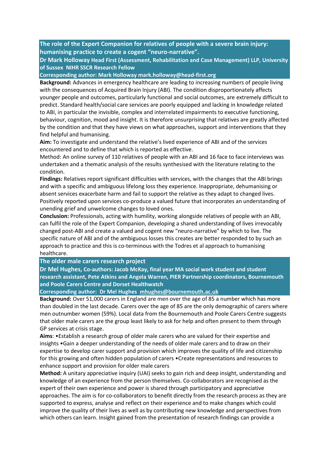**The role of the Expert Companion for relatives of people with a severe brain injury: humanising practice to create a cogent "neuro-narrative".**

**Dr Mark Holloway Head First (Assessment, Rehabilitation and Case Management) LLP, University of Sussex NIHR SSCR Research Fellow**

**Corresponding author: Mark Holloway mark.holloway@head-first.org**

**Background:** Advances in emergency healthcare are leading to increasing numbers of people living with the consequences of Acquired Brain Injury (ABI). The condition disproportionately affects younger people and outcomes, particularly functional and social outcomes, are extremely difficult to predict. Standard health/social care services are poorly equipped and lacking in knowledge related to ABI, in particular the invisible, complex and interrelated impairments to executive functioning, behaviour, cognition, mood and insight. It is therefore unsurprising that relatives are greatly affected by the condition and that they have views on what approaches, support and interventions that they find helpful and humanising.

**Aim:** To investigate and understand the relative's lived experience of ABI and of the services encountered and to define that which is reported as effective.

Method: An online survey of 110 relatives of people with an ABI and 16 face to face interviews was undertaken and a thematic analysis of the results synthesised with the literature relating to the condition.

**Findings:** Relatives report significant difficulties with services, with the changes that the ABI brings and with a specific and ambiguous lifelong loss they experience. Inappropriate, dehumanising or absent services exacerbate harm and fail to support the relative as they adapt to changed lives. Positively reported upon services co-produce a valued future that incorporates an understanding of unending grief and unwelcome changes to loved ones.

**Conclusion:** Professionals, acting with humility, working alongside relatives of people with an ABI, can fulfil the role of the Expert Companion, developing a shared understanding of lives irrevocably changed post-ABI and create a valued and cogent new "neuro-narrative" by which to live. The specific nature of ABI and of the ambiguous losses this creates are better responded to by such an approach to practice and this is co-terminous with the Todres et al approach to humanising healthcare.

#### **The older male carers research project**

**Dr Mel Hughes, Co-authors: Jacob McKay, final year MA social work student and student research assistant, Pete Atkins and Angela Warren, PIER Partnership coordinators, Bournemouth and Poole Carers Centre and Dorset Healthwatch**

**Corresponding author: Dr Mel Hughes [mhughes@bournemouth.ac.uk](mailto:mhughes@bournemouth.ac.uk)**

**Background:** Over 51,000 carers in England are men over the age of 85 a number which has more than doubled in the last decade. Carers over the age of 85 are the only demographic of carers where men outnumber women (59%). Local data from the Bournemouth and Poole Carers Centre suggests that older male carers are the group least likely to ask for help and often present to them through GP services at crisis stage.

**Aims**: •Establish a research group of older male carers who are valued for their expertise and insights •Gain a deeper understanding of the needs of older male carers and to draw on their expertise to develop carer support and provision which improves the quality of life and citizenship for this growing and often hidden population of carers •Create representations and resources to enhance support and provision for older male carers

**Method:** A unitary appreciative inquiry (UAI) seeks to gain rich and deep insight, understanding and knowledge of an experience from the person themselves. Co-collaborators are recognised as the expert of their own experience and power is shared through participatory and appreciative approaches. The aim is for co-collaborators to benefit directly from the research process as they are supported to express, analyse and reflect on their experience and to make changes which could improve the quality of their lives as well as by contributing new knowledge and perspectives from which others can learn. Insight gained from the presentation of research findings can provide a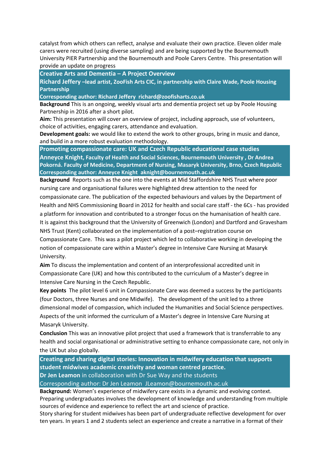catalyst from which others can reflect, analyse and evaluate their own practice. Eleven older male carers were recruited (using diverse sampling) and are being supported by the Bournemouth University PIER Partnership and the Bournemouth and Poole Carers Centre. This presentation will provide an update on progress

**Creative Arts and Dementia – A Project Overview**

**Richard Jeffery –lead artist, ZooFish Arts CIC, in partnership with Claire Wade, Poole Housing Partnership**

**Corresponding author: Richard Jeffery richard@zoofisharts.co.uk**

**Background** This is an ongoing, weekly visual arts and dementia project set up by Poole Housing Partnership in 2016 after a short pilot.

**Aim:** This presentation will cover an overview of project, including approach, use of volunteers, choice of activities, engaging carers, attendance and evaluation.

**Development goals:** we would like to extend the work to other groups, bring in music and dance, and build in a more robust evaluation methodology.

**Promoting compassionate care: UK and Czech Republic educational case studies Anneyce Knight, Faculty of Health and Social Sciences, Bournemouth University , Dr Andrea Pokorná. Faculty of Medicine, Department of Nursing, Masaryk University, Brno, Czech Republic Corresponding author: Anneyce Knight aknight@bournemouth.ac.uk**

**Background** Reports such as the one into the events at Mid Staffordshire NHS Trust where poor nursing care and organisational failures were highlighted drew attention to the need for compassionate care. The publication of the expected behaviours and values by the Department of Health and NHS Commissioning Board in 2012 for health and social care staff - the 6Cs - has provided a platform for innovation and contributed to a stronger focus on the humanisation of health care. It is against this background that the University of Greenwich (London) and Dartford and Gravesham NHS Trust (Kent) collaborated on the implementation of a post–registration course on Compassionate Care. This was a pilot project which led to collaborative working in developing the notion of compassionate care within a Master's degree in Intensive Care Nursing at Masaryk University.

**Aim** To discuss the implementation and content of an interprofessional accredited unit in Compassionate Care (UK) and how this contributed to the curriculum of a Master's degree in Intensive Care Nursing in the Czech Republic.

**Key points** The pilot level 6 unit in Compassionate Care was deemed a success by the participants (four Doctors, three Nurses and one Midwife). The development of the unit led to a three dimensional model of compassion, which included the Humanities and Social Science perspectives. Aspects of the unit informed the curriculum of a Master's degree in Intensive Care Nursing at Masaryk University.

**Conclusion** This was an innovative pilot project that used a framework that is transferrable to any health and social organisational or administrative setting to enhance compassionate care, not only in the UK but also globally.

**Creating and sharing digital stories: Innovation in midwifery education that supports student midwives academic creativity and woman centred practice. Dr Jen Leamon** in collaboration with Dr Sue Way and the students

Corresponding author: Dr Jen Leamon JLeamon@bournemouth.ac.uk

**Background:** Women's experience of midwifery care exists in a dynamic and evolving context. Preparing undergraduates involves the development of knowledge and understanding from multiple sources of evidence and experience to reflect the art and science of practice.

Story sharing for student midwives has been part of undergraduate reflective development for over ten years. In years 1 and 2 students select an experience and create a narrative in a format of their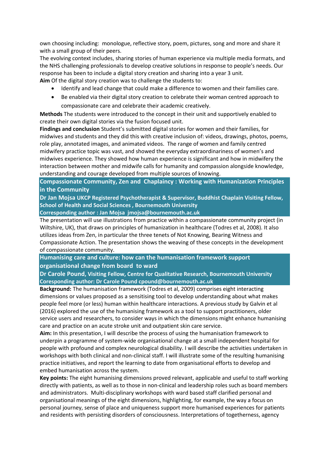own choosing including: monologue, reflective story, poem, pictures, song and more and share it with a small group of their peers.

The evolving context includes, sharing stories of human experience via multiple media formats, and the NHS challenging professionals to develop creative solutions in response to people's needs. Our response has been to include a digital story creation and sharing into a year 3 unit. **Aim** Of the digital story creation was to challenge the students to:

- Identify and lead change that could make a difference to women and their families care.
- Be enabled via their digital story creation to celebrate their woman centred approach to compassionate care and celebrate their academic creatively.

**Methods** The students were introduced to the concept in their unit and supportively enabled to create their own digital stories via the fusion focused unit.

**Findings and conclusion** Student's submitted digital stories for women and their families, for midwives and students and they did this with creative inclusion of: videos, drawings, photos, poems, role play, annotated images, and animated videos. The range of women and family centred midwifery practice topic was vast, and showed the everyday extraordinariness of women's and midwives experience. They showed how human experience is significant and how in midwifery the interaction between mother and midwife calls for humanity and compassion alongside knowledge, understanding and courage developed from multiple sources of knowing.

**Compassionate Community, Zen and Chaplaincy : Working with Humanization Principles in the Community**

**Dr Jan Mojsa UKCP Registered Psychotherapist & Supervisor, Buddhist Chaplain Visiting Fellow, School of Health and Social Sciences , Bournemouth University**

**Corresponding author : Jan Mojsa jmojsa@bournemouth.ac.uk**

The presentation will use illustrations from practice within a compassionate community project (in Wiltshire, UK), that draws on principles of humanization in healthcare (Todres et al, 2008). It also utilizes ideas from Zen, in particular the three tenets of Not Knowing, Bearing Witness and Compassionate Action. The presentation shows the weaving of these concepts in the development of compassionate community.

**Humanising care and culture: how can the humanisation framework support organisational change from board to ward** 

**Dr Carole Pound, Visiting Fellow, Centre for Qualitative Research, Bournemouth University Coresponding author: Dr Carole Pound cpound@bournemouth.ac.uk** 

**Background:** The humanisation framework (Todres et al, 2009) comprises eight interacting dimensions or values proposed as a sensitising tool to develop understanding about what makes people feel more (or less) human within healthcare interactions. A previous study by Galvin et al (2016) explored the use of the humanising framework as a tool to support practitioners, older service users and researchers, to consider ways in which the dimensions might enhance humanising care and practice on an acute stroke unit and outpatient skin care service.

**Aim:** In this presentation, I will describe the process of using the humanisation framework to underpin a programme of system-wide organisational change at a small independent hospital for people with profound and complex neurological disability. I will describe the activities undertaken in workshops with both clinical and non-clinical staff. I will illustrate some of the resulting humanising practice initiatives, and report the learning to date from organisational efforts to develop and embed humanisation across the system.

**Key points:** The eight humanising dimensions proved relevant, applicable and useful to staff working directly with patients, as well as to those in non-clinical and leadership roles such as board members and administrators. Multi-disciplinary workshops with ward based staff clarified personal and organisational meanings of the eight dimensions, highlighting, for example, the way a focus on personal journey, sense of place and uniqueness support more humanised experiences for patients and residents with persisting disorders of consciousness. Interpretations of togetherness, agency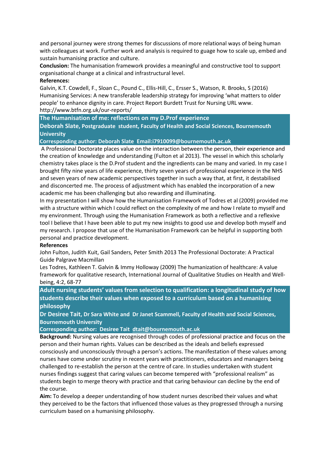and personal journey were strong themes for discussions of more relational ways of being human with colleagues at work. Further work and analysis is required to guage how to scale up, embed and sustain humanising practice and culture.

**Conclusion:** The humanisation framework provides a meaningful and constructive tool to support organisational change at a clinical and infrastructural level.

#### **References:**

Galvin, K.T. Cowdell, F., Sloan C., Pound C., Ellis-Hill, C., Ersser S., Watson, R. Brooks, S (2016) Humanising Services: A new transferable leadership strategy for improving 'what matters to older people' to enhance dignity in care. Project Report Burdett Trust for Nursing URL www. http://www.btfn.org.uk/our-reports/

**The Humanisation of me: reflections on my D.Prof experience**

**Deborah Slate, Postgraduate student, Faculty of Health and Social Sciences, Bournemouth University** 

**Corresponding author: Deborah Slate Email:i7910099@bournemouth.ac.uk**

A Professional Doctorate places value on the interaction between the person, their experience and the creation of knowledge and understanding (Fulton et al 2013). The vessel in which this scholarly chemistry takes place is the D.Prof student and the ingredients can be many and varied. In my case I brought fifty nine years of life experience, thirty seven years of professional experience in the NHS and seven years of new academic perspectives together in such a way that, at first, it destabilised and disconcerted me. The process of adjustment which has enabled the incorporation of a new academic me has been challenging but also rewarding and illuminating.

In my presentation I will show how the Humanisation Framework of Todres et al (2009) provided me with a structure within which I could reflect on the complexity of me and how I relate to myself and my environment. Through using the Humanisation Framework as both a reflective and a reflexive tool I believe that I have been able to put my new insights to good use and develop both myself and my research. I propose that use of the Humanisation Framework can be helpful in supporting both personal and practice development.

#### **References**

John Fulton, Judith Kuit, Gail Sanders, Peter Smith 2013 The Professional Doctorate: A Practical Guide Palgrave Macmillan

Les Todres, Kathleen T. Galvin & Immy Holloway (2009) The humanization of healthcare: A value framework for qualitative research, International Journal of Qualitative Studies on Health and Wellbeing, 4:2, 68-77

**Adult nursing students' values from selection to qualification: a longitudinal study of how students describe their values when exposed to a curriculum based on a humanising philosophy**

**Dr Desiree Tait, Dr Sara White and Dr Janet Scammell, Faculty of Health and Social Sciences, Bournemouth University** 

**Corresponding author: Desiree Tait [dtait@bournemouth.ac.uk](mailto:dtait@bournemouth.ac.uk)**

**Background:** Nursing values are recognised through codes of professional practice and focus on the person and their human rights. Values can be described as the ideals and beliefs expressed consciously and unconsciously through a person's actions. The manifestation of these values among nurses have come under scrutiny in recent years with practitioners, educators and managers being challenged to re-establish the person at the centre of care. In studies undertaken with student nurses findings suggest that caring values can become tempered with "professional realism" as students begin to merge theory with practice and that caring behaviour can decline by the end of the course.

**Aim:** To develop a deeper understanding of how student nurses described their values and what they perceived to be the factors that influenced those values as they progressed through a nursing curriculum based on a humanising philosophy.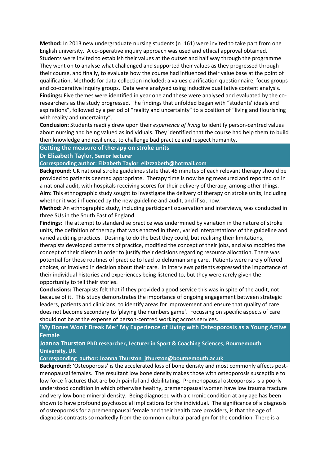**Method:** In 2013 new undergraduate nursing students (n=161) were invited to take part from one English university. A co-operative inquiry approach was used and ethical approval obtained. Students were invited to establish their values at the outset and half way through the programme They went on to analyse what challenged and supported their values as they progressed through their course, and finally, to evaluate how the course had influenced their value base at the point of qualification. Methods for data collection included: a values clarification questionnaire, focus groups and co-operative inquiry groups. Data were analysed using inductive qualitative content analysis. **Findings:** Five themes were identified in year one and these were analysed and evaluated by the coresearchers as the study progressed. The findings that unfolded began with "students' ideals and aspirations", followed by a period of "reality and uncertainty" to a position of "living and flourishing with reality and uncertainty".

**Conclusion:** Students readily drew upon their *experience of living* to identify person-centred values about nursing and being valued as individuals. They identified that the course had help them to build their knowledge and resilience, to challenge bad practice and respect humanity.

#### **Getting the measure of therapy on stroke units**

**Dr Elizabeth Taylor, Senior lecturer** 

**Corresponding author: Elizabeth Taylor elizzzabeth@hotmail.com**

**Background:** UK national stroke guidelines state that 45 minutes of each relevant therapy should be provided to patients deemed appropriate. Therapy time is now being measured and reported on in a national audit, with hospitals receiving scores for their delivery of therapy, among other things. **Aim:** This ethnographic study sought to investigate the delivery of therapy on stroke units, including whether it was influenced by the new guideline and audit, and if so, how.

**Method:** An ethnographic study, including participant observation and interviews, was conducted in three SUs in the South East of England.

**Findings:** The attempt to standardise practice was undermined by variation in the nature of stroke units, the definition of therapy that was enacted in them, varied interpretations of the guideline and varied auditing practices. Desiring to do the best they could, but realising their limitations, therapists developed patterns of practice, modified the concept of their jobs, and also modified the concept of their clients in order to justify their decisions regarding resource allocation. There was potential for these routines of practice to lead to dehumanising care. Patients were rarely offered choices, or involved in decision about their care. In interviews patients expressed the importance of their individual histories and experiences being listened to, but they were rarely given the opportunity to tell their stories.

**Conclusions:** Therapists felt that if they provided a good service this was in spite of the audit, not because of it. This study demonstrates the importance of ongoing engagement between strategic leaders, patients and clinicians, to identify areas for improvement and ensure that quality of care does not become secondary to 'playing the numbers game'. Focussing on specific aspects of care should not be at the expense of person-centred working across services.

**'My Bones Won't Break Me:' My Experience of Living with Osteoporosis as a Young Active Female** 

**Joanna Thurston PhD researcher, Lecturer in Sport & Coaching Sciences, Bournemouth University, UK**

**Corresponding author: Joanna Thurston [jthurston@bournemouth.ac.uk](mailto:jthurston@bournemouth.ac.uk)**

**Background:** 'Osteoporosis' is the accelerated loss of bone density and most commonly affects postmenopausal females. The resultant low bone density makes those with osteoporosis susceptible to low force fractures that are both painful and debilitating. Premenopausal osteoporosis is a poorly understood condition in which otherwise healthy, premenopausal women have low trauma fracture and very low bone mineral density. Being diagnosed with a chronic condition at any age has been shown to have profound psychosocial implications for the individual. The significance of a diagnosis of osteoporosis for a premenopausal female and their health care providers, is that the age of diagnosis contrasts so markedly from the common cultural paradigm for the condition. There is a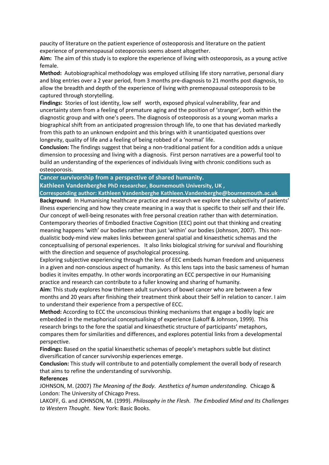paucity of literature on the patient experience of osteoporosis and literature on the patient experience of premenopausal osteoporosis seems absent altogether.

**Aim:** The aim of this study is to explore the experience of living with osteoporosis, as a young active female.

**Method:** Autobiographical methodology was employed utilising life story narrative, personal diary and blog entries over a 2 year period, from 3 months pre-diagnosis to 21 months post diagnosis, to allow the breadth and depth of the experience of living with premenopausal osteoporosis to be captured through storytelling.

**Findings:** Stories of lost identity, low self worth, exposed physical vulnerability, fear and uncertainty stem from a feeling of premature aging and the position of 'stranger', both within the diagnostic group and with one's peers. The diagnosis of osteoporosis as a young woman marks a biographical shift from an anticipated progression through life, to one that has deviated markedly from this path to an unknown endpoint and this brings with it unanticipated questions over longevity, quality of life and a feeling of being robbed of a 'normal' life.

**Conclusion:** The findings suggest that being a non-traditional patient for a condition adds a unique dimension to processing and living with a diagnosis. First person narratives are a powerful tool to build an understanding of the experiences of individuals living with chronic conditions such as osteoporosis.

**Cancer survivorship from a perspective of shared humanity.**

**Kathleen Vandenberghe PhD researcher, Bournemouth University, UK ,** 

**Corresponding author: Kathleen Vandenberghe Kathleen.Vandenberghe@bournemouth.ac.uk Background:** In Humanising healthcare practice and research we explore the subjectivity of patients' illness experiencing and how they create meaning in a way that is specific to their self and their life. Our concept of well-being resonates with free personal creation rather than with determination.

Contemporary theories of Embodied Enactive Cognition (EEC) point out that thinking and creating meaning happens 'with' our bodies rather than just 'within' our bodies (Johnson, 2007). This nondualistic body-mind view makes links between general spatial and kinaesthetic schemas and the conceptualising of personal experiences. It also links biological striving for survival and flourishing with the direction and sequence of psychological processing.

Exploring subjective experiencing through the lens of EEC embeds human freedom and uniqueness in a given and non-conscious aspect of humanity. As this lens taps into the basic sameness of human bodies it invites empathy. In other words incorporating an ECC perspective in our Humanising practice and research can contribute to a fuller knowing and sharing of humanity.

**Aim:** This study explores how thirteen adult survivors of bowel cancer who are between a few months and 20 years after finishing their treatment think about their Self in relation to cancer. I aim to understand their experience from a perspective of ECC.

**Method:** According to ECC the unconscious thinking mechanisms that engage a bodily logic are embedded in the metaphorical conceptualising of experience (Lakoff & Johnson, 1999). This research brings to the fore the spatial and kinaesthetic structure of participants' metaphors, compares them for similarities and differences, and explores potential links from a developmental perspective.

**Findings:** Based on the spatial kinaesthetic schemas of people's metaphors subtle but distinct diversification of cancer survivorship experiences emerge.

**Conclusion:** This study will contribute to and potentially complement the overall body of research that aims to refine the understanding of survivorship.

#### **References**

JOHNSON, M. (2007) *The Meaning of the Body. Aesthetics of human understanding.* Chicago & London: The University of Chicago Press.

LAKOFF, G. and JOHNSON, M. (1999). *Philosophy in the Flesh. The Embodied Mind and Its Challenges to Western Thought*. New York: Basic Books.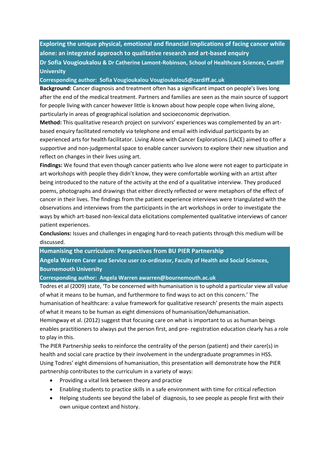**Exploring the unique physical, emotional and financial implications of facing cancer while alone: an integrated approach to qualitative research and art-based enquiry Dr Sofia Vougioukalou & Dr Catherine Lamont-Robinson, School of Healthcare Sciences, Cardiff University**

**Corresponding author: Sofia Vougioukalou VougioukalouS@cardiff.ac.uk**

**Background:** Cancer diagnosis and treatment often has a significant impact on people's lives long after the end of the medical treatment. Partners and families are seen as the main source of support for people living with cancer however little is known about how people cope when living alone, particularly in areas of geographical isolation and socioeconomic deprivation.

**Method:** This qualitative research project on survivors' experiences was complemented by an artbased enquiry facilitated remotely via telephone and email with individual participants by an experienced arts for health facilitator. Living Alone with Cancer Explorations (LACE) aimed to offer a supportive and non-judgemental space to enable cancer survivors to explore their new situation and reflect on changes in their lives using art.

**Findings:** We found that even though cancer patients who live alone were not eager to participate in art workshops with people they didn't know, they were comfortable working with an artist after being introduced to the nature of the activity at the end of a qualitative interview. They produced poems, photographs and drawings that either directly reflected or were metaphors of the effect of cancer in their lives. The findings from the patient experience interviews were triangulated with the observations and interviews from the participants in the art workshops in order to investigate the ways by which art-based non-lexical data elicitations complemented qualitative interviews of cancer patient experiences.

**Conclusions:** Issues and challenges in engaging hard-to-reach patients through this medium will be discussed.

**Humanising the curriculum: Perspectives from BU PIER Partnership**

**Angela Warren Carer and Service user co-ordinator, Faculty of Health and Social Sciences, Bournemouth University** 

**Corresponding author: Angela Warren awarren@bournemouth.ac.uk**

Todres et al (2009) state, 'To be concerned with humanisation is to uphold a particular view all value of what it means to be human, and furthermore to find ways to act on this concern.' The humanisation of healthcare: a value framework for qualitative research' presents the main aspects of what it means to be human as eight dimensions of humanisation/dehumanisation. Hemingway et al. (2012) suggest that focusing care on what is important to us as human beings enables practitioners to always put the person first, and pre- registration education clearly has a role

to play in this.

The PIER Partnership seeks to reinforce the centrality of the person (patient) and their carer(s) in health and social care practice by their involvement in the undergraduate programmes in HSS. Using Todres' eight dimensions of humanisation, this presentation will demonstrate how the PIER partnership contributes to the curriculum in a variety of ways:

- Providing a vital link between theory and practice
- Enabling students to practice skills in a safe environment with time for critical reflection
- Helping students see beyond the label of diagnosis, to see people as people first with their own unique context and history.